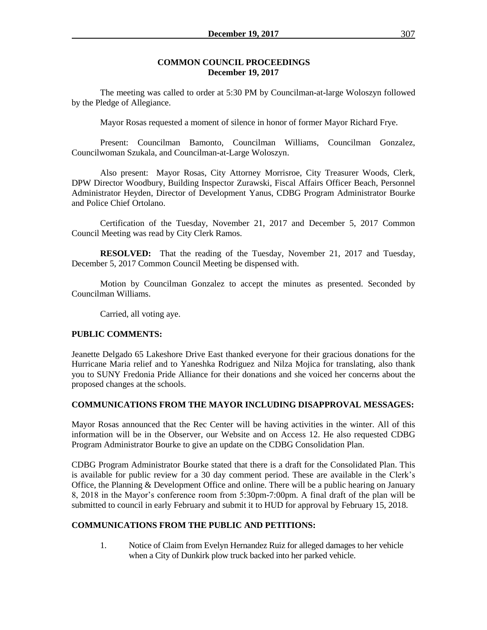#### **COMMON COUNCIL PROCEEDINGS December 19, 2017**

The meeting was called to order at 5:30 PM by Councilman-at-large Woloszyn followed by the Pledge of Allegiance.

Mayor Rosas requested a moment of silence in honor of former Mayor Richard Frye.

Present: Councilman Bamonto, Councilman Williams, Councilman Gonzalez, Councilwoman Szukala, and Councilman-at-Large Woloszyn.

Also present: Mayor Rosas, City Attorney Morrisroe, City Treasurer Woods, Clerk, DPW Director Woodbury, Building Inspector Zurawski, Fiscal Affairs Officer Beach, Personnel Administrator Heyden, Director of Development Yanus, CDBG Program Administrator Bourke and Police Chief Ortolano.

Certification of the Tuesday, November 21, 2017 and December 5, 2017 Common Council Meeting was read by City Clerk Ramos.

**RESOLVED:** That the reading of the Tuesday, November 21, 2017 and Tuesday, December 5, 2017 Common Council Meeting be dispensed with.

Motion by Councilman Gonzalez to accept the minutes as presented. Seconded by Councilman Williams.

Carried, all voting aye.

### **PUBLIC COMMENTS:**

Jeanette Delgado 65 Lakeshore Drive East thanked everyone for their gracious donations for the Hurricane Maria relief and to Yaneshka Rodriguez and Nilza Mojica for translating, also thank you to SUNY Fredonia Pride Alliance for their donations and she voiced her concerns about the proposed changes at the schools.

### **COMMUNICATIONS FROM THE MAYOR INCLUDING DISAPPROVAL MESSAGES:**

Mayor Rosas announced that the Rec Center will be having activities in the winter. All of this information will be in the Observer, our Website and on Access 12. He also requested CDBG Program Administrator Bourke to give an update on the CDBG Consolidation Plan.

CDBG Program Administrator Bourke stated that there is a draft for the Consolidated Plan. This is available for public review for a 30 day comment period. These are available in the Clerk's Office, the Planning & Development Office and online. There will be a public hearing on January 8, 2018 in the Mayor's conference room from 5:30pm-7:00pm. A final draft of the plan will be submitted to council in early February and submit it to HUD for approval by February 15, 2018.

### **COMMUNICATIONS FROM THE PUBLIC AND PETITIONS:**

1. Notice of Claim from Evelyn Hernandez Ruiz for alleged damages to her vehicle when a City of Dunkirk plow truck backed into her parked vehicle.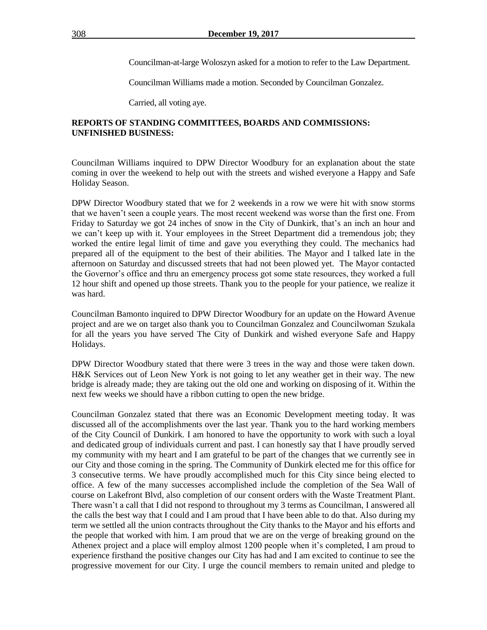Councilman-at-large Woloszyn asked for a motion to refer to the Law Department.

Councilman Williams made a motion. Seconded by Councilman Gonzalez.

Carried, all voting aye.

## **REPORTS OF STANDING COMMITTEES, BOARDS AND COMMISSIONS: UNFINISHED BUSINESS:**

Councilman Williams inquired to DPW Director Woodbury for an explanation about the state coming in over the weekend to help out with the streets and wished everyone a Happy and Safe Holiday Season.

DPW Director Woodbury stated that we for 2 weekends in a row we were hit with snow storms that we haven't seen a couple years. The most recent weekend was worse than the first one. From Friday to Saturday we got 24 inches of snow in the City of Dunkirk, that's an inch an hour and we can't keep up with it. Your employees in the Street Department did a tremendous job; they worked the entire legal limit of time and gave you everything they could. The mechanics had prepared all of the equipment to the best of their abilities. The Mayor and I talked late in the afternoon on Saturday and discussed streets that had not been plowed yet. The Mayor contacted the Governor's office and thru an emergency process got some state resources, they worked a full 12 hour shift and opened up those streets. Thank you to the people for your patience, we realize it was hard.

Councilman Bamonto inquired to DPW Director Woodbury for an update on the Howard Avenue project and are we on target also thank you to Councilman Gonzalez and Councilwoman Szukala for all the years you have served The City of Dunkirk and wished everyone Safe and Happy Holidays.

DPW Director Woodbury stated that there were 3 trees in the way and those were taken down. H&K Services out of Leon New York is not going to let any weather get in their way. The new bridge is already made; they are taking out the old one and working on disposing of it. Within the next few weeks we should have a ribbon cutting to open the new bridge.

Councilman Gonzalez stated that there was an Economic Development meeting today. It was discussed all of the accomplishments over the last year. Thank you to the hard working members of the City Council of Dunkirk. I am honored to have the opportunity to work with such a loyal and dedicated group of individuals current and past. I can honestly say that I have proudly served my community with my heart and I am grateful to be part of the changes that we currently see in our City and those coming in the spring. The Community of Dunkirk elected me for this office for 3 consecutive terms. We have proudly accomplished much for this City since being elected to office. A few of the many successes accomplished include the completion of the Sea Wall of course on Lakefront Blvd, also completion of our consent orders with the Waste Treatment Plant. There wasn't a call that I did not respond to throughout my 3 terms as Councilman, I answered all the calls the best way that I could and I am proud that I have been able to do that. Also during my term we settled all the union contracts throughout the City thanks to the Mayor and his efforts and the people that worked with him. I am proud that we are on the verge of breaking ground on the Athenex project and a place will employ almost 1200 people when it's completed, I am proud to experience firsthand the positive changes our City has had and I am excited to continue to see the progressive movement for our City. I urge the council members to remain united and pledge to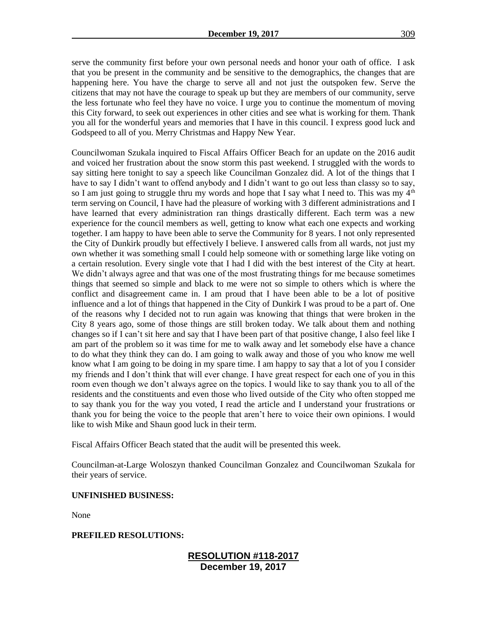serve the community first before your own personal needs and honor your oath of office. I ask that you be present in the community and be sensitive to the demographics, the changes that are happening here. You have the charge to serve all and not just the outspoken few. Serve the citizens that may not have the courage to speak up but they are members of our community, serve the less fortunate who feel they have no voice. I urge you to continue the momentum of moving this City forward, to seek out experiences in other cities and see what is working for them. Thank you all for the wonderful years and memories that I have in this council. I express good luck and Godspeed to all of you. Merry Christmas and Happy New Year.

Councilwoman Szukala inquired to Fiscal Affairs Officer Beach for an update on the 2016 audit and voiced her frustration about the snow storm this past weekend. I struggled with the words to say sitting here tonight to say a speech like Councilman Gonzalez did. A lot of the things that I have to say I didn't want to offend anybody and I didn't want to go out less than classy so to say, so I am just going to struggle thru my words and hope that I say what I need to. This was my  $4<sup>th</sup>$ term serving on Council, I have had the pleasure of working with 3 different administrations and I have learned that every administration ran things drastically different. Each term was a new experience for the council members as well, getting to know what each one expects and working together. I am happy to have been able to serve the Community for 8 years. I not only represented the City of Dunkirk proudly but effectively I believe. I answered calls from all wards, not just my own whether it was something small I could help someone with or something large like voting on a certain resolution. Every single vote that I had I did with the best interest of the City at heart. We didn't always agree and that was one of the most frustrating things for me because sometimes things that seemed so simple and black to me were not so simple to others which is where the conflict and disagreement came in. I am proud that I have been able to be a lot of positive influence and a lot of things that happened in the City of Dunkirk I was proud to be a part of. One of the reasons why I decided not to run again was knowing that things that were broken in the City 8 years ago, some of those things are still broken today. We talk about them and nothing changes so if I can't sit here and say that I have been part of that positive change, I also feel like I am part of the problem so it was time for me to walk away and let somebody else have a chance to do what they think they can do. I am going to walk away and those of you who know me well know what I am going to be doing in my spare time. I am happy to say that a lot of you I consider my friends and I don't think that will ever change. I have great respect for each one of you in this room even though we don't always agree on the topics. I would like to say thank you to all of the residents and the constituents and even those who lived outside of the City who often stopped me to say thank you for the way you voted, I read the article and I understand your frustrations or thank you for being the voice to the people that aren't here to voice their own opinions. I would like to wish Mike and Shaun good luck in their term.

Fiscal Affairs Officer Beach stated that the audit will be presented this week.

Councilman-at-Large Woloszyn thanked Councilman Gonzalez and Councilwoman Szukala for their years of service.

### **UNFINISHED BUSINESS:**

None

### **PREFILED RESOLUTIONS:**

# **RESOLUTION #118-2017 December 19, 2017**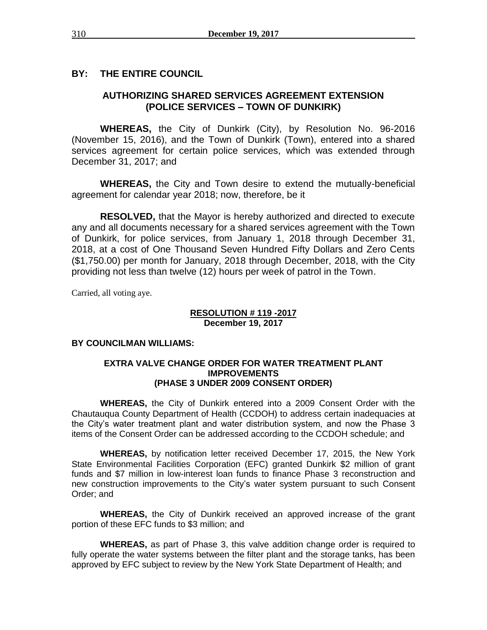# **BY: THE ENTIRE COUNCIL**

# **AUTHORIZING SHARED SERVICES AGREEMENT EXTENSION (POLICE SERVICES – TOWN OF DUNKIRK)**

**WHEREAS,** the City of Dunkirk (City), by Resolution No. 96-2016 (November 15, 2016), and the Town of Dunkirk (Town), entered into a shared services agreement for certain police services, which was extended through December 31, 2017; and

**WHEREAS,** the City and Town desire to extend the mutually-beneficial agreement for calendar year 2018; now, therefore, be it

**RESOLVED,** that the Mayor is hereby authorized and directed to execute any and all documents necessary for a shared services agreement with the Town of Dunkirk, for police services, from January 1, 2018 through December 31, 2018, at a cost of One Thousand Seven Hundred Fifty Dollars and Zero Cents (\$1,750.00) per month for January, 2018 through December, 2018, with the City providing not less than twelve (12) hours per week of patrol in the Town.

Carried, all voting aye.

#### **RESOLUTION # 119 -2017 December 19, 2017**

### **BY COUNCILMAN WILLIAMS:**

## **EXTRA VALVE CHANGE ORDER FOR WATER TREATMENT PLANT IMPROVEMENTS (PHASE 3 UNDER 2009 CONSENT ORDER)**

**WHEREAS,** the City of Dunkirk entered into a 2009 Consent Order with the Chautauqua County Department of Health (CCDOH) to address certain inadequacies at the City's water treatment plant and water distribution system, and now the Phase 3 items of the Consent Order can be addressed according to the CCDOH schedule; and

**WHEREAS,** by notification letter received December 17, 2015, the New York State Environmental Facilities Corporation (EFC) granted Dunkirk \$2 million of grant funds and \$7 million in low-interest loan funds to finance Phase 3 reconstruction and new construction improvements to the City's water system pursuant to such Consent Order; and

**WHEREAS,** the City of Dunkirk received an approved increase of the grant portion of these EFC funds to \$3 million; and

**WHEREAS,** as part of Phase 3, this valve addition change order is required to fully operate the water systems between the filter plant and the storage tanks, has been approved by EFC subject to review by the New York State Department of Health; and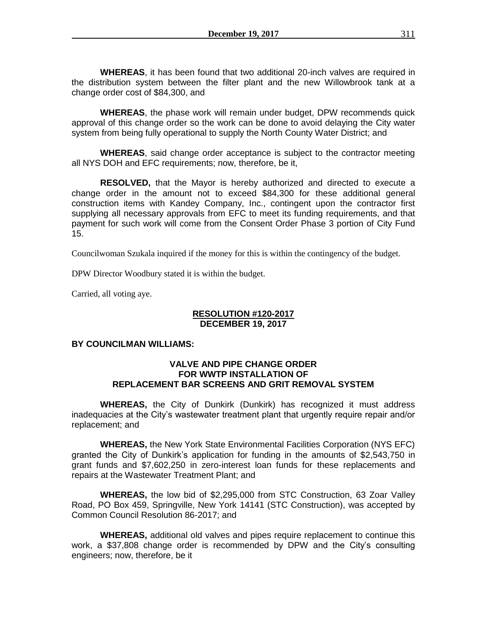**WHEREAS**, it has been found that two additional 20-inch valves are required in the distribution system between the filter plant and the new Willowbrook tank at a change order cost of \$84,300, and

**WHEREAS**, the phase work will remain under budget, DPW recommends quick approval of this change order so the work can be done to avoid delaying the City water system from being fully operational to supply the North County Water District; and

**WHEREAS**, said change order acceptance is subject to the contractor meeting all NYS DOH and EFC requirements; now, therefore, be it,

**RESOLVED,** that the Mayor is hereby authorized and directed to execute a change order in the amount not to exceed \$84,300 for these additional general construction items with Kandey Company, Inc., contingent upon the contractor first supplying all necessary approvals from EFC to meet its funding requirements, and that payment for such work will come from the Consent Order Phase 3 portion of City Fund 15.

Councilwoman Szukala inquired if the money for this is within the contingency of the budget.

DPW Director Woodbury stated it is within the budget.

Carried, all voting aye.

#### **RESOLUTION #120-2017 DECEMBER 19, 2017**

# **BY COUNCILMAN WILLIAMS:**

## **VALVE AND PIPE CHANGE ORDER FOR WWTP INSTALLATION OF REPLACEMENT BAR SCREENS AND GRIT REMOVAL SYSTEM**

**WHEREAS,** the City of Dunkirk (Dunkirk) has recognized it must address inadequacies at the City's wastewater treatment plant that urgently require repair and/or replacement; and

**WHEREAS,** the New York State Environmental Facilities Corporation (NYS EFC) granted the City of Dunkirk's application for funding in the amounts of \$2,543,750 in grant funds and \$7,602,250 in zero-interest loan funds for these replacements and repairs at the Wastewater Treatment Plant; and

**WHEREAS,** the low bid of \$2,295,000 from STC Construction, 63 Zoar Valley Road, PO Box 459, Springville, New York 14141 (STC Construction), was accepted by Common Council Resolution 86-2017; and

**WHEREAS,** additional old valves and pipes require replacement to continue this work, a \$37,808 change order is recommended by DPW and the City's consulting engineers; now, therefore, be it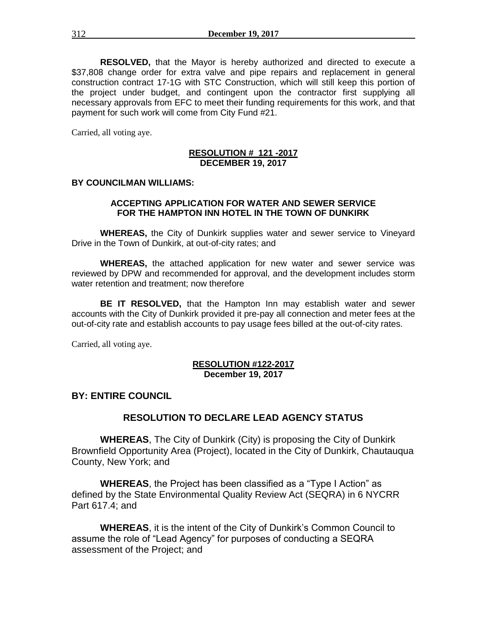**RESOLVED,** that the Mayor is hereby authorized and directed to execute a \$37,808 change order for extra valve and pipe repairs and replacement in general construction contract 17-1G with STC Construction, which will still keep this portion of the project under budget, and contingent upon the contractor first supplying all necessary approvals from EFC to meet their funding requirements for this work, and that payment for such work will come from City Fund #21.

Carried, all voting aye.

## **RESOLUTION # 121 -2017 DECEMBER 19, 2017**

#### **BY COUNCILMAN WILLIAMS:**

### **ACCEPTING APPLICATION FOR WATER AND SEWER SERVICE FOR THE HAMPTON INN HOTEL IN THE TOWN OF DUNKIRK**

**WHEREAS,** the City of Dunkirk supplies water and sewer service to Vineyard Drive in the Town of Dunkirk, at out-of-city rates; and

**WHEREAS,** the attached application for new water and sewer service was reviewed by DPW and recommended for approval, and the development includes storm water retention and treatment; now therefore

**BE IT RESOLVED,** that the Hampton Inn may establish water and sewer accounts with the City of Dunkirk provided it pre-pay all connection and meter fees at the out-of-city rate and establish accounts to pay usage fees billed at the out-of-city rates.

Carried, all voting aye.

#### **RESOLUTION #122-2017 December 19, 2017**

# **BY: ENTIRE COUNCIL**

# **RESOLUTION TO DECLARE LEAD AGENCY STATUS**

**WHEREAS**, The City of Dunkirk (City) is proposing the City of Dunkirk Brownfield Opportunity Area (Project), located in the City of Dunkirk, Chautauqua County, New York; and

**WHEREAS**, the Project has been classified as a "Type I Action" as defined by the State Environmental Quality Review Act (SEQRA) in 6 NYCRR Part 617.4; and

**WHEREAS**, it is the intent of the City of Dunkirk's Common Council to assume the role of "Lead Agency" for purposes of conducting a SEQRA assessment of the Project; and